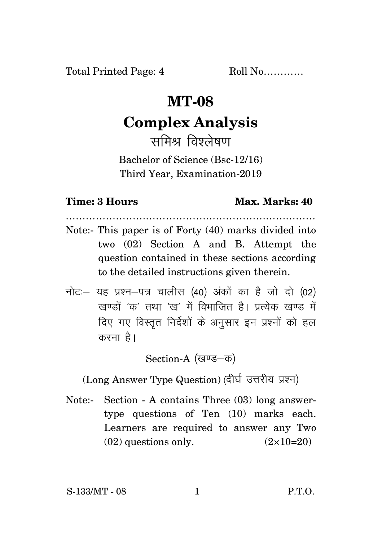## **MT-08**

## **Complex Analysis**

समिश्र तिष्ठलेषण

Bachelor of Science (Bsc-12/16) Third Year, Examination-2019

## **Time: 3 Hours Max. Marks: 40**

Note:- This paper is of Forty (40) marks divided into two (02) Section A and B. Attempt the question contained in these sections according to the detailed instructions given therein.

…………………………………………………………………

नोट: यह प्रश्न-पत्र चालीस (40) अंकों का है जो दो (02)  $\vec{y}$ रवण्डों 'क' तथा 'रव' में विभाजित है। पत्येक रवण्ड में दिए गए विस्तृत निर्देशों के अनुसार इन प्रश्नों को हल करना है।

Section-A (खण्ड-क)

(Long Answer Type Question) (दीर्घ उत्तरीय प्रश्न)

Note:- Section - A contains Three (03) long answertype questions of Ten (10) marks each. Learners are required to answer any Two  $(02)$  questions only.  $(2 \times 10=20)$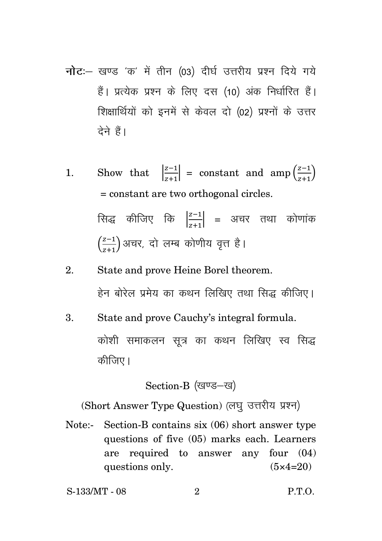- **नोट**: खण्ड 'क' में तीन (03) दीर्घ उत्तरीय प्रश्न दिये गये हैं। प्रत्येक प्रश्न के लिए दस (10) अंक निर्धारित हैं। शिक्षार्थियों को इनमें से केवल दो (02) प्रश्नों के उत्तर देने हैं।
- 1. Show that  $\left| \frac{z-1}{z+1} \right|$  $\left|\frac{z-1}{z+1}\right|$  = constant and amp $\left(\frac{z-1}{z+1}\right)$  $\frac{z-1}{z+1}$ = constant are two orthogonal circles. सिद्ध कीजिए कि  $\frac{|z-1|}{|z+1|}$  $\left|\frac{z-1}{z+1}\right|$  = अचर तथा कोणांक  $\left(\frac{z-1}{z-1}\right)$  $\left(\frac{z-1}{z+1}\right)$ अचर, दो लम्ब कोणीय वृत्त है।
- 2. State and prove Heine Borel theorem. हेन बोरेल प्रमेय का कथन लिखिए तथा सिद्ध कीजिए।
- 3. State and prove Cauchy's integral formula. कोशी समाकलन सत्र का कथन लिखिए स्व सिद्ध कीजिए ।

Section-B (खण्ड-ख)

(Short Answer Type Question) (लघु उत्तरीय प्रश्न)

Note:- Section-B contains six (06) short answer type questions of five (05) marks each. Learners are required to answer any four (04) questions only.  $(5 \times 4=20)$ 

S-133/MT - 08 2 P.T.O.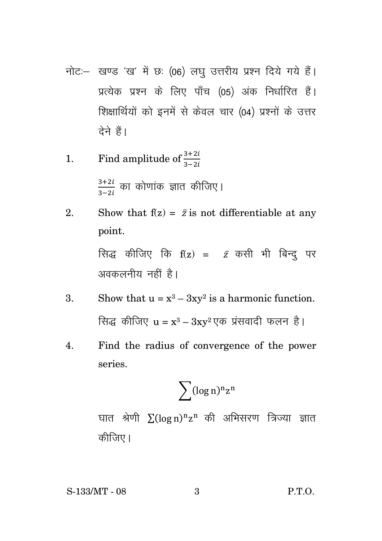नोट :- खण्ड 'ख' में छः (06) लघु उत्तरीय प्रश्न दिये गये हैं। प्रत्येक प्रश्न के लिए पाँच (05) अंक निर्धारित हैं। शिक्षार्थियों को इनमें से केवल चार (04) प्रश्नों के उत्तर देने हैं।

1. Find amplitude of 
$$
\frac{3+2i}{3-2i}
$$
  
 $\frac{3+2i}{3-2i}$   $\overline{p}$   $\overline{p}$   $\overline{p}$   $\overline{p}$   $\overline{p}$   $\overline{p}$   $\overline{p}$   $\overline{p}$   $\overline{p}$   $\overline{p}$   $\overline{p}$   $\overline{p}$   $\overline{p}$   $\overline{p}$   $\overline{p}$   $\overline{p}$   $\overline{p}$   $\overline{p}$   $\overline{p}$   $\overline{p}$   $\overline{p}$   $\overline{p}$   $\overline{p}$   $\overline{p}$   $\overline{p}$   $\overline{p}$   $\overline{p}$   $\overline{p}$   $\overline{p}$   $\overline{p}$   $\overline{p}$   $\overline{p}$   $\overline{p}$   $\overline{p}$   $\overline{p}$   $\overline{p}$   $\overline{p}$   $\overline{p}$   $\overline{p}$   $\overline{p}$   $\overline{p}$   $\overline{p}$   $\overline{p}$   $\overline{p}$   $\overline{p}$   $\overline{p}$   $\overline{p}$   $\overline{p}$   $\overline{p}$   $\overline{p}$   $\overline{p}$   $\overline{p}$   $\overline{p}$   $\overline{p}$   $\overline{p}$   $\overline{p}$   $\overline{p}$   $\overline{p}$   $\overline{p}$   $\overline{p}$   $\overline{p}$   $\overline{p}$   $\overline{p}$   $\overline{p}$   $\overline{p}$   $\overline{p}$   $\overline{p}$   $\overline{p}$   $\overline{p}$   $\overline{p}$   $\overline{p}$   $\overline{p}$   $\overline$ 

2. Show that 
$$
f(z) = \bar{z}
$$
 is not differentiable at any point.

\n  $\text{Rig} = \frac{1}{\sqrt{2\pi}} \int_{0}^{z} f(z) \, dz$ 

\n  $\text{Rig} = \frac{1}{\sqrt{2\pi}} \int_{0}^{z} f(z) \, dz$ 

\n  $\text{Slow that } u = x^3 - 3xv^2$  is a harmonic function.

3. Show that 
$$
u = x^3 - 3xy^2
$$
 is a harmonic function.  
सिद्ध कीजिए  $u = x^3 - 3xy^2$  एक प्रंसवादी फलन है।

Find the radius of convergence of the power  $\overline{4}$ . series.

$$
\sum (\log n)^n z^n
$$

घात श्रेणी  $\sum (\log n)^n z^n$  की अभिसरण त्रिज्या ज्ञात कीजिए।